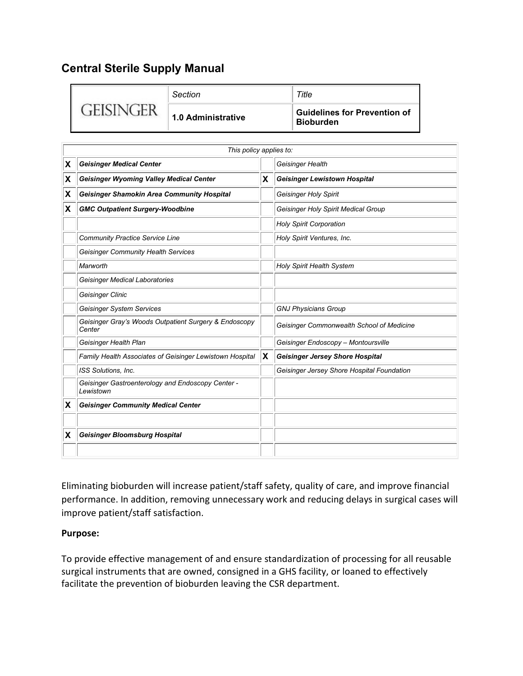# **Central Sterile Supply Manual**

|        | Section            | Title                                            |  |
|--------|--------------------|--------------------------------------------------|--|
| $-LIC$ | 1.0 Administrative | <b>Guidelines for Prevention of</b><br>Bioburden |  |

|   | This policy applies to:                                         |    |                                            |  |  |  |  |
|---|-----------------------------------------------------------------|----|--------------------------------------------|--|--|--|--|
| X | <b>Geisinger Medical Center</b>                                 |    | Geisinger Health                           |  |  |  |  |
| X | <b>Geisinger Wyoming Valley Medical Center</b>                  | X  | <b>Geisinger Lewistown Hospital</b>        |  |  |  |  |
| X | <b>Geisinger Shamokin Area Community Hospital</b>               |    | Geisinger Holy Spirit                      |  |  |  |  |
| X | <b>GMC Outpatient Surgery-Woodbine</b>                          |    | Geisinger Holy Spirit Medical Group        |  |  |  |  |
|   |                                                                 |    | <b>Holy Spirit Corporation</b>             |  |  |  |  |
|   | <b>Community Practice Service Line</b>                          |    | Holy Spirit Ventures, Inc.                 |  |  |  |  |
|   | <b>Geisinger Community Health Services</b>                      |    |                                            |  |  |  |  |
|   | Marworth                                                        |    | <b>Holy Spirit Health System</b>           |  |  |  |  |
|   | <b>Geisinger Medical Laboratories</b>                           |    |                                            |  |  |  |  |
|   | Geisinger Clinic                                                |    |                                            |  |  |  |  |
|   | <b>Geisinger System Services</b>                                |    | <b>GNJ Physicians Group</b>                |  |  |  |  |
|   | Geisinger Gray's Woods Outpatient Surgery & Endoscopy<br>Center |    | Geisinger Commonwealth School of Medicine  |  |  |  |  |
|   | Geisinger Health Plan                                           |    | Geisinger Endoscopy - Montoursville        |  |  |  |  |
|   | Family Health Associates of Geisinger Lewistown Hospital        | X) | <b>Geisinger Jersey Shore Hospital</b>     |  |  |  |  |
|   | ISS Solutions, Inc.                                             |    | Geisinger Jersey Shore Hospital Foundation |  |  |  |  |
|   | Geisinger Gastroenterology and Endoscopy Center -<br>Lewistown  |    |                                            |  |  |  |  |
| X | <b>Geisinger Community Medical Center</b>                       |    |                                            |  |  |  |  |
|   |                                                                 |    |                                            |  |  |  |  |
| х | <b>Geisinger Bloomsburg Hospital</b>                            |    |                                            |  |  |  |  |
|   |                                                                 |    |                                            |  |  |  |  |

Eliminating bioburden will increase patient/staff safety, quality of care, and improve financial performance. In addition, removing unnecessary work and reducing delays in surgical cases will improve patient/staff satisfaction.

## **Purpose:**

 surgical instruments that are owned, consigned in a GHS facility, or loaned to effectively facilitate the prevention of bioburden leaving the CSR department. To provide effective management of and ensure standardization of processing for all reusable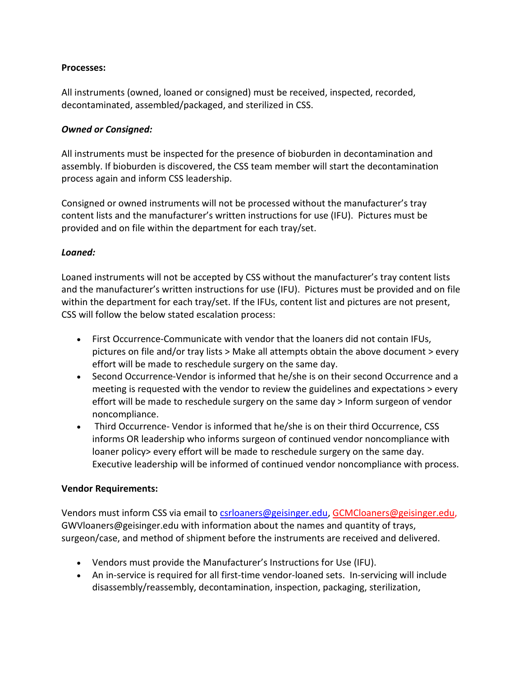### **Processes:**

All instruments (owned, loaned or consigned) must be received, inspected, recorded, decontaminated, assembled/packaged, and sterilized in CSS.

### *Owned or Consigned:*

 All instruments must be inspected for the presence of bioburden in decontamination and assembly. If bioburden is discovered, the CSS team member will start the decontamination process again and inform CSS leadership.

 Consigned or owned instruments will not be processed without the manufacturer's tray content lists and the manufacturer's written instructions for use (IFU). Pictures must be provided and on file within the department for each tray/set.

### *Loaned:*

 and the manufacturer's written instructions for use (IFU). Pictures must be provided and on file CSS will follow the below stated escalation process: Loaned instruments will not be accepted by CSS without the manufacturer's tray content lists within the department for each tray/set. If the IFUs, content list and pictures are not present,

- • First Occurrence-Communicate with vendor that the loaners did not contain IFUs, pictures on file and/or tray lists > Make all attempts obtain the above document > every effort will be made to reschedule surgery on the same day.
- meeting is requested with the vendor to review the guidelines and expectations > every effort will be made to reschedule surgery on the same day > Inform surgeon of vendor • Second Occurrence-Vendor is informed that he/she is on their second Occurrence and a noncompliance.
- • Third Occurrence- Vendor is informed that he/she is on their third Occurrence, CSS loaner policy> every effort will be made to reschedule surgery on the same day. informs OR leadership who informs surgeon of continued vendor noncompliance with Executive leadership will be informed of continued vendor noncompliance with process.

#### **Vendor Requirements:**

 [GWVloaners@geisinger.edu](mailto:GWVloaners@geisinger.edu) with information about the names and quantity of trays, Vendors must inform CSS via email to [csrloaners@geisinger.edu,](mailto:csrloaners@geisinger.edu) [GCMCloaners@geisinger.edu,](mailto:GCMCloaners@geisinger.edu) surgeon/case, and method of shipment before the instruments are received and delivered.

- Vendors must provide the Manufacturer's Instructions for Use (IFU).
- • An in-service is required for all first-time vendor-loaned sets. In-servicing will include disassembly/reassembly, decontamination, inspection, packaging, sterilization,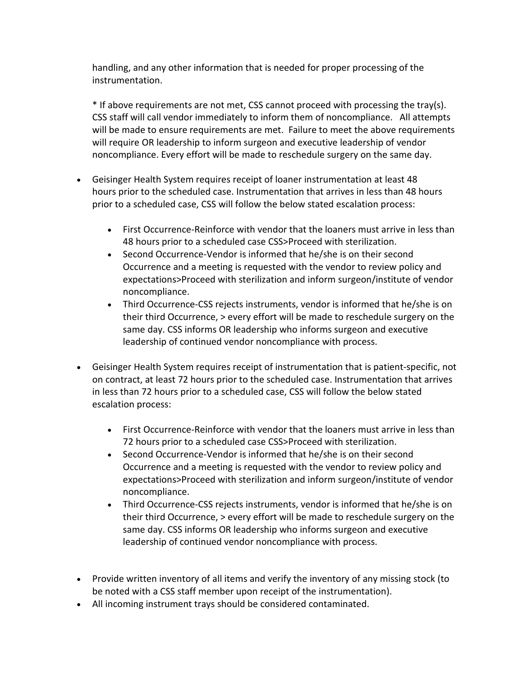handling, and any other information that is needed for proper processing of the instrumentation.

 \* If above requirements are not met, CSS cannot proceed with processing the tray(s). CSS staff will call vendor immediately to inform them of noncompliance. All attempts will be made to ensure requirements are met. Failure to meet the above requirements will require OR leadership to inform surgeon and executive leadership of vendor noncompliance. Every effort will be made to reschedule surgery on the same day.

- hours prior to the scheduled case. Instrumentation that arrives in less than 48 hours • Geisinger Health System requires receipt of loaner instrumentation at least 48 prior to a scheduled case, CSS will follow the below stated escalation process:
	- First Occurrence-Reinforce with vendor that the loaners must arrive in less than 48 hours prior to a scheduled case CSS>Proceed with sterilization.
	- expectations>Proceed with sterilization and inform surgeon/institute of vendor • Second Occurrence-Vendor is informed that he/she is on their second Occurrence and a meeting is requested with the vendor to review policy and noncompliance.
	- leadership of continued vendor noncompliance with process. • Third Occurrence-CSS rejects instruments, vendor is informed that he/she is on their third Occurrence, > every effort will be made to reschedule surgery on the same day. CSS informs OR leadership who informs surgeon and executive
- on contract, at least 72 hours prior to the scheduled case. Instrumentation that arrives in less than 72 hours prior to a scheduled case, CSS will follow the below stated • Geisinger Health System requires receipt of instrumentation that is patient-specific, not escalation process:
	- First Occurrence-Reinforce with vendor that the loaners must arrive in less than 72 hours prior to a scheduled case CSS>Proceed with sterilization.
	- Second Occurrence-Vendor is informed that he/she is on their second Occurrence and a meeting is requested with the vendor to review policy and expectations>Proceed with sterilization and inform surgeon/institute of vendor noncompliance.
	- leadership of continued vendor noncompliance with process. • Third Occurrence-CSS rejects instruments, vendor is informed that he/she is on their third Occurrence, > every effort will be made to reschedule surgery on the same day. CSS informs OR leadership who informs surgeon and executive
- Provide written inventory of all items and verify the inventory of any missing stock (to be noted with a CSS staff member upon receipt of the instrumentation).
- All incoming instrument trays should be considered contaminated.